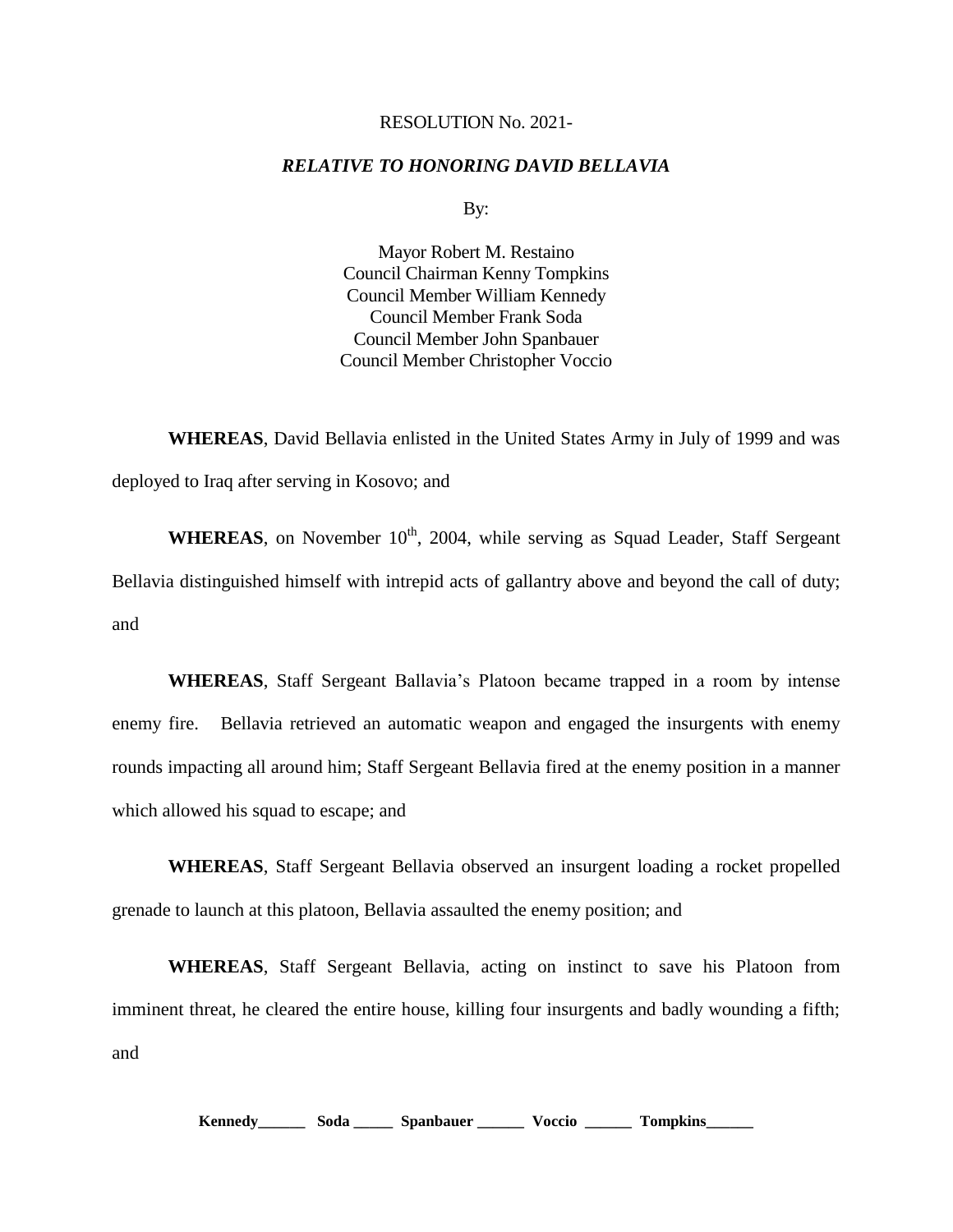## RESOLUTION No. 2021-

## *RELATIVE TO HONORING DAVID BELLAVIA*

By:

Mayor Robert M. Restaino Council Chairman Kenny Tompkins Council Member William Kennedy Council Member Frank Soda Council Member John Spanbauer Council Member Christopher Voccio

**WHEREAS**, David Bellavia enlisted in the United States Army in July of 1999 and was deployed to Iraq after serving in Kosovo; and

**WHEREAS**, on November  $10<sup>th</sup>$ , 2004, while serving as Squad Leader, Staff Sergeant Bellavia distinguished himself with intrepid acts of gallantry above and beyond the call of duty; and

**WHEREAS**, Staff Sergeant Ballavia's Platoon became trapped in a room by intense enemy fire. Bellavia retrieved an automatic weapon and engaged the insurgents with enemy rounds impacting all around him; Staff Sergeant Bellavia fired at the enemy position in a manner which allowed his squad to escape; and

**WHEREAS**, Staff Sergeant Bellavia observed an insurgent loading a rocket propelled grenade to launch at this platoon, Bellavia assaulted the enemy position; and

**WHEREAS**, Staff Sergeant Bellavia, acting on instinct to save his Platoon from imminent threat, he cleared the entire house, killing four insurgents and badly wounding a fifth; and

**Kennedy\_\_\_\_\_\_ Soda \_\_\_\_\_ Spanbauer \_\_\_\_\_\_ Voccio \_\_\_\_\_\_ Tompkins\_\_\_\_\_\_**